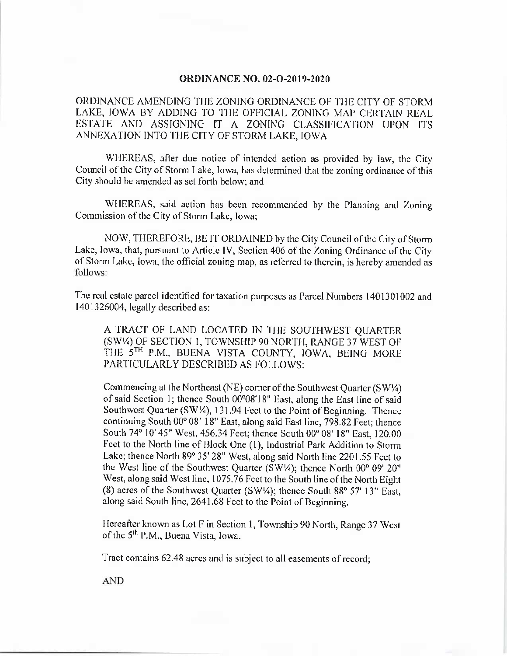## **ORDINANCE NO. 02-O-2019-2020**

ORDINANCE AMENDING THE ZONING ORDINANCE OF THE CITY OF STORM LAKE, IOWA BY ADDING TO THE OFFICIAL ZONING MAP CERTAIN REAL ESTATE AND ASSIGNING IT A ZONING CLASSIFICATION UPON ITS ANNEXATION INTO THE CITY OF STORM LAKE, IOWA

WHEREAS, after due notice of intended action as provided by law, the City Council of the City of Storm Lake, Iowa, has determined that the zoning ordinance of this City should be amended as set forth below; and

WHEREAS, said action has been recommended by the Planning and Zoning Commission of the City of Storm Lake, Iowa;

NOW, THEREFORE, BE IT ORDAINED by the City Council of the City of Storm Lake, Iowa, that, pursuant to Article IV, Section 406 of the Zoning Ordinance of the City of Storm Lake, Iowa, the official zoning map, as referred to therein, is hereby amended as follows:

The real estate parcel identified for taxation purposes as Parcel Numbers 1401301002 and 1401326004, legally described as:

A TRACT OF LAND LOCATED IN THE SOUTHWEST QUARTER SW'/4) OF SECTION 1, TOWNSHIP 90 NORTH, RANGE 37 WEST OF THE 5TH P.M., BUENA VISTA COUNTY, IOWA, BEING MORE PARTICULARLY DESCRIBED AS FOLLOWS:

Commencing at the Northeast (NE) corner of the Southwest Quarter ( $SW\$ of said Section 1; thence South 00°08'18" East, along the East line of said Southwest Quarter ( $SW\frac{1}{4}$ ), 131.94 Feet to the Point of Beginning. Thence continuing South 00° 08' 18" East, along said East line, 798. 82 Feet; thence South 74° 10' 45" West, 456.34 Feet; thence South 00° 08' 18" East, 120.00 Feet to the North line of Block One (1), Industrial Park Addition to Storm Lake; thence North 89° 35' 28" West, along said North line 2201.55 Feet to the West line of the Southwest Quarter ( $SW/4$ ); thence North  $00^{\circ}$  09'  $20^{\circ}$ West, along said West line, 1075.76 Feet to the South line of the North Eight (8) acres of the Southwest Quarter ( $SW\%$ ); thence South 88° 57' 13" East, along said South line, 2641. 68 Feet to the Point of Beginning.

Hereafter known as Lot F in Section 1, Township 90 North, Range 37 West of the 5<sup>th</sup> P.M., Buena Vista, Iowa.

Tract contains 62.48 acres and is subject to all easements of record;

AND